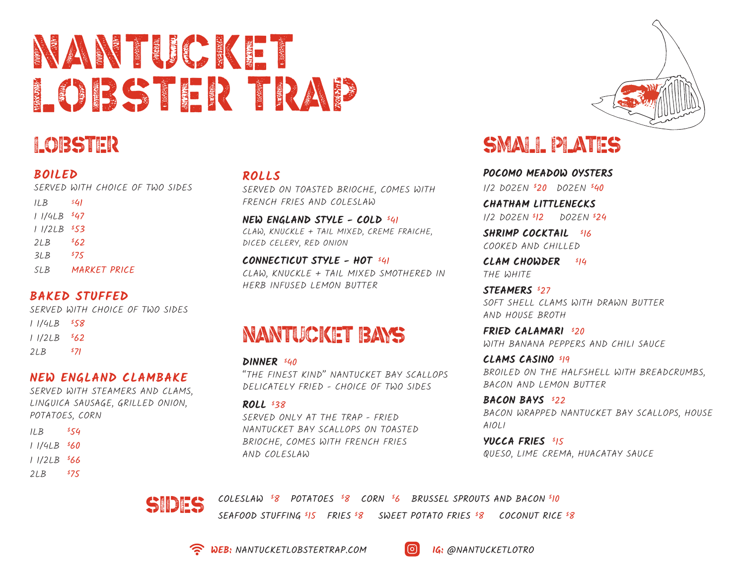# NANTUCKET LOBSTER TRAP

## Lobster

#### **BOILED**

SERVED WITH CHOICE OF TWO SIDES

| II.B    | \$41         |
|---------|--------------|
| 1 1/4LB | 547          |
| 1 1/2LB | 553          |
| 21B     | 862          |
| 3LB     | 875          |
| .SLB    | MARKET PRICE |
|         |              |

#### **BAKED STUFFED**

SERVED WITH CHOICE OF TWO SIDES 1 1/4LB \$ 58

| 11/2LB | \$62 |
|--------|------|
|--------|------|

 $2LB$  $571$ 

#### **NEW ENGLAND CLAMBAKE**

SERVED WITH STEAMERS AND CLAMS, LINGUICA SAUSAGE, GRILLED ONION, POTATOES, CORN

| IL B                | 854   |
|---------------------|-------|
| 1 1/4LB             | - 860 |
| 11/2LB \$ <b>66</b> |       |
| 2LB                 | 875   |

#### **ROLLS**

SERVED ON TOASTED BRIOCHE, COMES WITH FRENCH FRIES AND COLESLAW

**NEW ENGLAND STYLE - COLD** \$ 41 CLAW, KNUCKLE + TAIL MIXED, CREME FRAICHE, DICED CELERY, RED ONION

**CONNECTICUT STYLE - HOT** \$ 41 CLAW, KNUCKLE + TAIL MIXED SMOTHERED IN HERB INFUSED LEMON BUTTER

### nantucket bays

**DINNER** \$ 40 "THE FINEST KIND" NANTUCKET BAY SCALLOPS DELICATELY FRIED - CHOICE OF TWO SIDES

**ROLL** \$ 38 SERVED ONLY AT THE TRAP - FRIED NANTUCKET BAY SCALLOPS ON TOASTED BRIOCHE, COMES WITH FRENCH FRIES AND COLESLAW

### small plates

**POCOMO MEADOW OYSTERS** 1/2 DOZEN \$ 20 DOZEN \$ 40

**CHATHAM LITTLENECKS**  1/2 DOZEN \$ 12 DOZEN \$ 24

**SHRIMP COCKTAIL** \$ 16 COOKED AND CHILLED

**CLAM CHOWDER** \$ 14 THE WHITE

**STEAMERS** \$ 27 SOFT SHELL CLAMS WITH DRAWN BUTTER AND HOUSE BROTH

**FRIED CALAMARI** \$ 20 WITH BANANA PEPPERS AND CHILI SAUCE

**CLAMS CASINO** \$ 19 BROILED ON THE HALFSHELL WITH BREADCRUMBS, BACON AND LEMON BUTTER

**BACON BAYS** \$ 22 BACON WRAPPED NANTUCKET BAY SCALLOPS, HOUSE AIOLI

**YUCCA FRIES** \$ 15 QUESO, LIME CREMA, HUACATAY SAUCE



8 POTATOES \$ 8 CORN \$ 6 BRUSSEL SPROUTS AND BACON \$ 10 SEAFOOD STUFFING <sup>\$</sup>IS FRIES <sup>\$</sup>8 SWEET POTATO FRIES <sup>\$</sup>8 COCONUT RICE <sup>\$</sup>8



**WEB:** NANTUCKETLOBSTERTRAP.COM **IG:** @NANTUCKETLOTRO